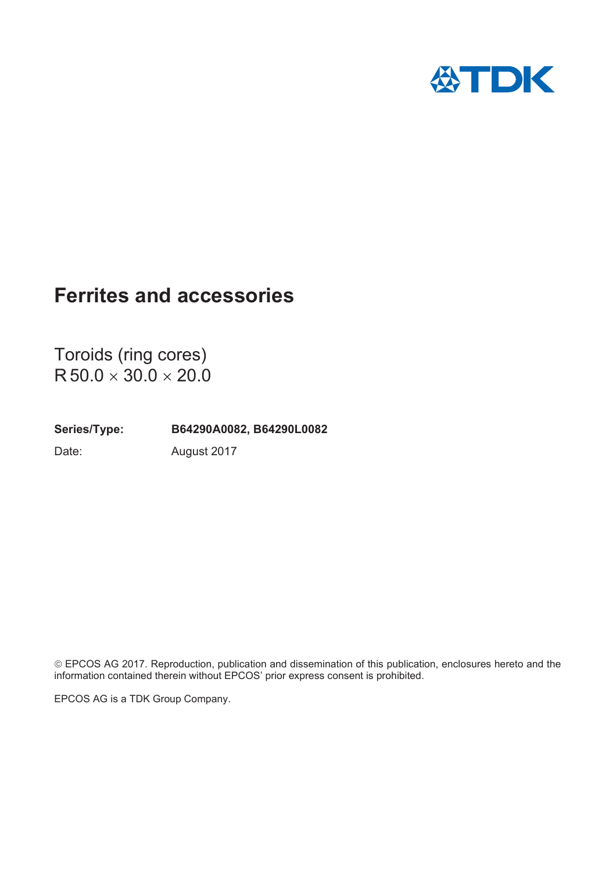

Toroids (ring cores)  $R 50.0 \times 30.0 \times 20.0$ 

**Series/Type: B64290A0082, B64290L0082** Date: August 2017

© EPCOS AG 2017. Reproduction, publication and dissemination of this publication, enclosures hereto and the information contained therein without EPCOS' prior express consent is prohibited.

EPCOS AG is a TDK Group Company.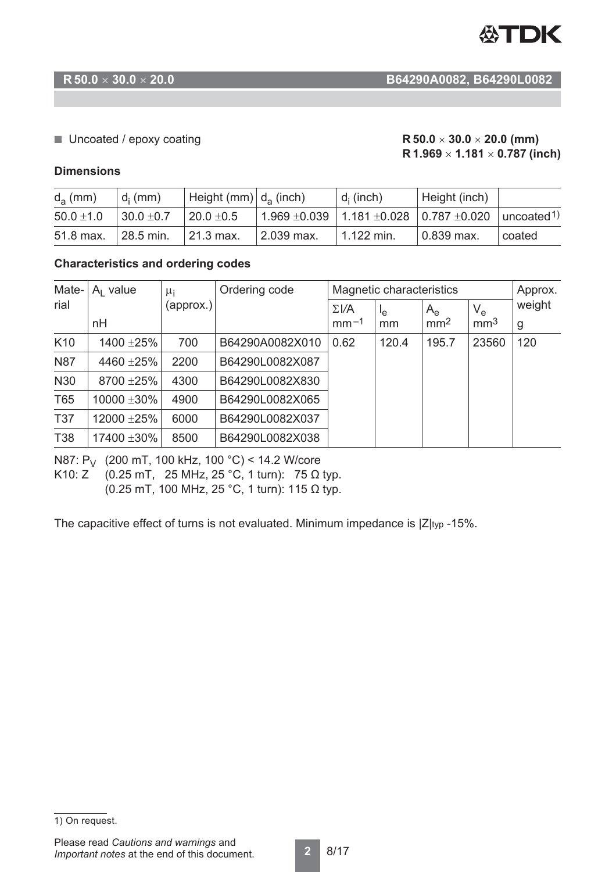

### **R 50.0** u **30.0** u **20.0 B64290A0082, B64290L0082**

#### ■ Uncoated / epoxy coating  $R$  50.0  $\times$  30.0  $\times$  20.0 (mm)

# **R 1.969**  $\times$  **1.181**  $\times$  **0.787 (inch)**

#### **Dimensions**

| $d_a$ (mm)     | $d_i$ (mm)     | $\vert$ Height (mm) $\vert$ d <sub>a</sub> (inch) |                       | $d_i$ (inch) | Height (inch)                                                                 |        |
|----------------|----------------|---------------------------------------------------|-----------------------|--------------|-------------------------------------------------------------------------------|--------|
| $50.0 \pm 1.0$ | $30.0 \pm 0.7$ | $20.0 \pm 0.5$                                    |                       |              | $\pm$ 1.969 $\pm$ 0.039   1.181 $\pm$ 0.028   0.787 $\pm$ 0.020   uncoated 1) |        |
| 51.8 max.      | 28.5 min.      | 21.3 max.                                         | $^{\circ}$ 2.039 max. | $1.122$ min. | $10.839$ max.                                                                 | coated |

#### **Characteristics and ordering codes**

| Mate-           | $A1$ value | $\mu_i$<br>(approx.) | Ordering code   | Magnetic characteristics |          |                                |                                | Approx.     |
|-----------------|------------|----------------------|-----------------|--------------------------|----------|--------------------------------|--------------------------------|-------------|
| rial            | nH         |                      |                 | $\Sigma V$ A<br>$mm-1$   | ٩e<br>mm | $A_{\rm e}$<br>mm <sup>2</sup> | $V_{\rm e}$<br>mm <sup>3</sup> | weight<br>g |
| K <sub>10</sub> | 1400 ±25%  | 700                  | B64290A0082X010 | 0.62                     | 120.4    | 195.7                          | 23560                          | 120         |
| <b>N87</b>      | 4460 ±25%  | 2200                 | B64290L0082X087 |                          |          |                                |                                |             |
| N30             | 8700 ±25%  | 4300                 | B64290L0082X830 |                          |          |                                |                                |             |
| T65             | 10000 ±30% | 4900                 | B64290L0082X065 |                          |          |                                |                                |             |
| <b>T37</b>      | 12000 ±25% | 6000                 | B64290L0082X037 |                          |          |                                |                                |             |
| <b>T38</b>      | 17400 ±30% | 8500                 | B64290L0082X038 |                          |          |                                |                                |             |

N87: P<sub>V</sub> (200 mT, 100 kHz, 100 °C) < 14.2 W/core

K10: Z  $(0.25 \text{ mT}, 25 \text{ MHz}, 25 \text{ °C}, 1 \text{ turn})$ : 75  $\Omega$  typ.

(0.25 mT, 100 MHz, 25 °C, 1 turn): 115  $\Omega$  typ.

The capacitive effect of turns is not evaluated. Minimum impedance is  $|Z|_{\text{typ}}$  -15%.

<sup>1)</sup> On request.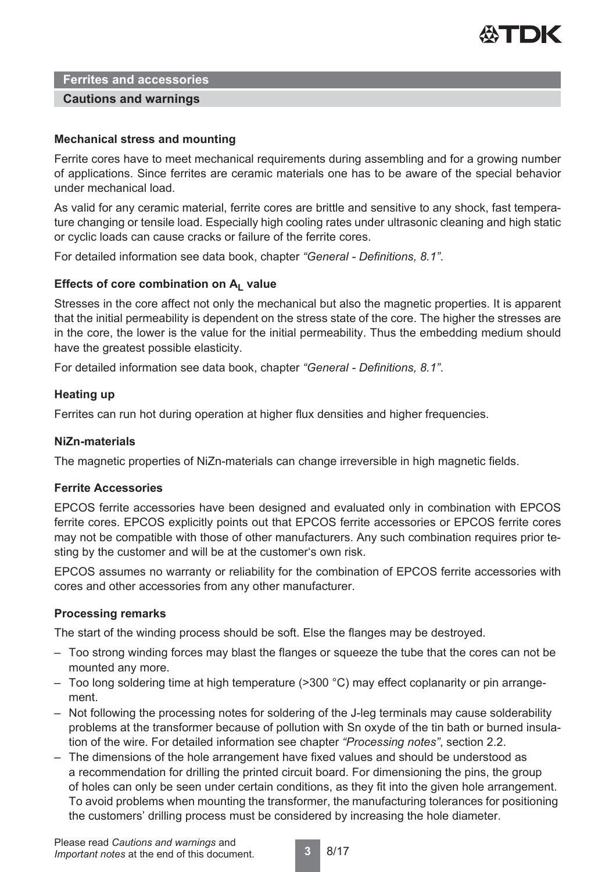

#### **Cautions and warnings**

#### **Mechanical stress and mounting**

Ferrite cores have to meet mechanical requirements during assembling and for a growing number of applications. Since ferrites are ceramic materials one has to be aware of the special behavior under mechanical load.

As valid for any ceramic material, ferrite cores are brittle and sensitive to any shock, fast temperature changing or tensile load. Especially high cooling rates under ultrasonic cleaning and high static or cyclic loads can cause cracks or failure of the ferrite cores.

For detailed information see data book, chapter *"General - Definitions, 8.1"*.

#### Effects of core combination on A<sub>L</sub> value

Stresses in the core affect not only the mechanical but also the magnetic properties. It is apparent that the initial permeability is dependent on the stress state of the core. The higher the stresses are in the core, the lower is the value for the initial permeability. Thus the embedding medium should have the greatest possible elasticity.

For detailed information see data book, chapter *"General - Definitions, 8.1"*.

#### **Heating up**

Ferrites can run hot during operation at higher flux densities and higher frequencies.

#### **NiZn-materials**

The magnetic properties of NiZn-materials can change irreversible in high magnetic fields.

#### **Ferrite Accessories**

EPCOS ferrite accessories have been designed and evaluated only in combination with EPCOS ferrite cores. EPCOS explicitly points out that EPCOS ferrite accessories or EPCOS ferrite cores may not be compatible with those of other manufacturers. Any such combination requires prior testing by the customer and will be at the customer's own risk.

EPCOS assumes no warranty or reliability for the combination of EPCOS ferrite accessories with cores and other accessories from any other manufacturer.

#### **Processing remarks**

The start of the winding process should be soft. Else the flanges may be destroyed.

- Too strong winding forces may blast the flanges or squeeze the tube that the cores can not be mounted any more.
- Too long soldering time at high temperature (>300 °C) may effect coplanarity or pin arrangement.
- Not following the processing notes for soldering of the J-leg terminals may cause solderability problems at the transformer because of pollution with Sn oxyde of the tin bath or burned insulation of the wire. For detailed information see chapter *"Processing notes"*, section 2.2.
- The dimensions of the hole arrangement have fixed values and should be understood as a recommendation for drilling the printed circuit board. For dimensioning the pins, the group of holes can only be seen under certain conditions, as they fit into the given hole arrangement. To avoid problems when mounting the transformer, the manufacturing tolerances for positioning the customers' drilling process must be considered by increasing the hole diameter.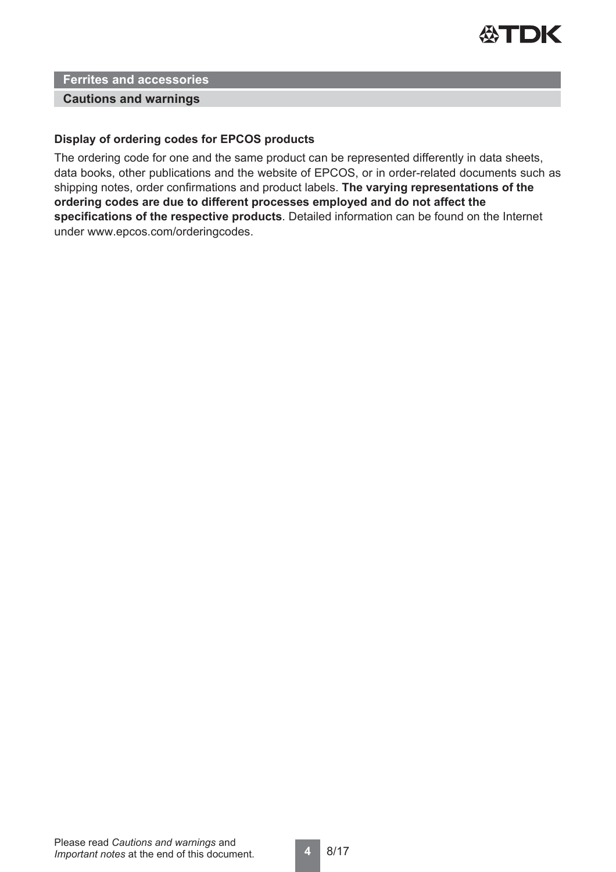

#### **Cautions and warnings**

#### **Display of ordering codes for EPCOS products**

The ordering code for one and the same product can be represented differently in data sheets, data books, other publications and the website of EPCOS, or in order-related documents such as shipping notes, order confirmations and product labels. **The varying representations of the ordering codes are due to different processes employed and do not affect the specifications of the respective products**. Detailed information can be found on the Internet under www.epcos.com/orderingcodes.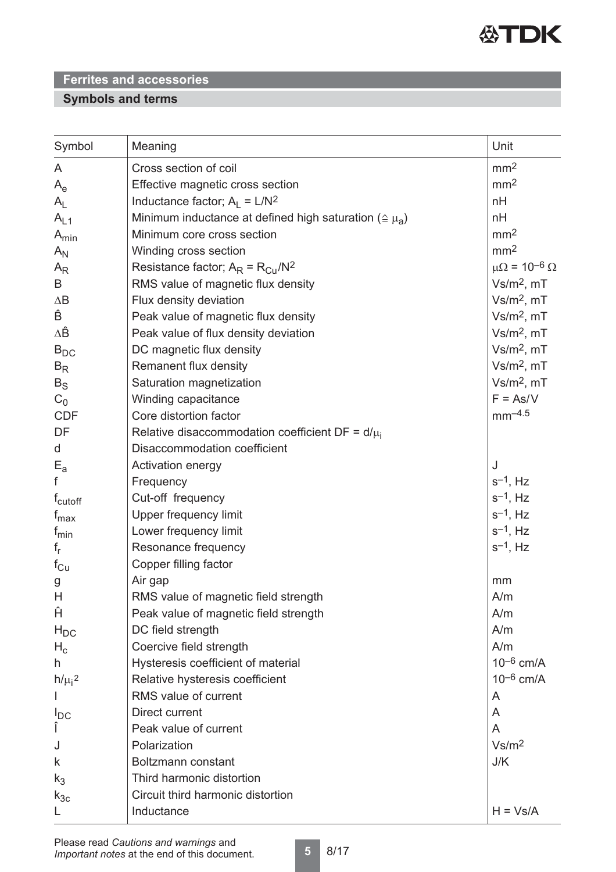

# **Symbols and terms**

| Symbol              | Meaning                                                              | Unit                         |
|---------------------|----------------------------------------------------------------------|------------------------------|
| A                   | Cross section of coil                                                | mm <sup>2</sup>              |
| $A_e$               | Effective magnetic cross section                                     | mm <sup>2</sup>              |
| $A_{L}$             | Inductance factor; $A_1 = L/N^2$                                     | nH                           |
| $A_{L1}$            | Minimum inductance at defined high saturation ( $\triangleq \mu_A$ ) | nH                           |
| $A_{min}$           | Minimum core cross section                                           | mm <sup>2</sup>              |
| $A_N$               | Winding cross section                                                | mm <sup>2</sup>              |
| $A_{R}$             | Resistance factor; $A_R = R_{Cu}/N^2$                                | $\mu\Omega = 10^{-6} \Omega$ |
| B                   | RMS value of magnetic flux density                                   | $Vs/m2$ , mT                 |
| $\Delta \mathsf{B}$ | Flux density deviation                                               | $Vs/m2$ , mT                 |
| Ê                   | Peak value of magnetic flux density                                  | $Vs/m2$ , mT                 |
| ΔÊ                  | Peak value of flux density deviation                                 | $Vs/m2$ , mT                 |
| $B_{DC}$            | DC magnetic flux density                                             | $Vs/m2$ , mT                 |
| $B_R$               | Remanent flux density                                                | $Vs/m2$ , mT                 |
| $B_S$               | Saturation magnetization                                             | $Vs/m2$ , mT                 |
| $C_0$               | Winding capacitance                                                  | $F = As/V$                   |
| <b>CDF</b>          | Core distortion factor                                               | $mm^{-4.5}$                  |
| DF                  | Relative disaccommodation coefficient DF = $d/\mu_i$                 |                              |
| d                   | Disaccommodation coefficient                                         |                              |
| $E_{a}$             | Activation energy                                                    | J                            |
| f                   | Frequency                                                            | $s^{-1}$ , Hz                |
| f <sub>cutoff</sub> | Cut-off frequency                                                    | $s^{-1}$ , Hz                |
| $f_{\text{max}}$    | Upper frequency limit                                                | $s^{-1}$ , Hz                |
| $f_{min}$           | Lower frequency limit                                                | $s^{-1}$ , Hz                |
| $f_r$               | Resonance frequency                                                  | $s^{-1}$ , Hz                |
| $f_{\rm Cu}$        | Copper filling factor                                                |                              |
| g                   | Air gap                                                              | mm                           |
| H                   | RMS value of magnetic field strength                                 | A/m                          |
| Ĥ                   | Peak value of magnetic field strength                                | A/m                          |
| $H_{DC}$            | DC field strength                                                    | A/m                          |
| $H_c$               | Coercive field strength                                              | A/m                          |
| h                   | Hysteresis coefficient of material                                   | $10^{-6}$ cm/A               |
| $h/\mu_i^2$         | Relative hysteresis coefficient                                      | $10^{-6}$ cm/A               |
|                     | RMS value of current                                                 | A                            |
| $I_{DC}$            | Direct current                                                       | A                            |
| Î                   | Peak value of current                                                | A                            |
| J                   | Polarization                                                         | Vs/m <sup>2</sup>            |
| k                   | Boltzmann constant                                                   | J/K                          |
| $k_3$               | Third harmonic distortion                                            |                              |
| $k_{3c}$            | Circuit third harmonic distortion                                    |                              |
| L                   | Inductance                                                           | $H = Vs/A$                   |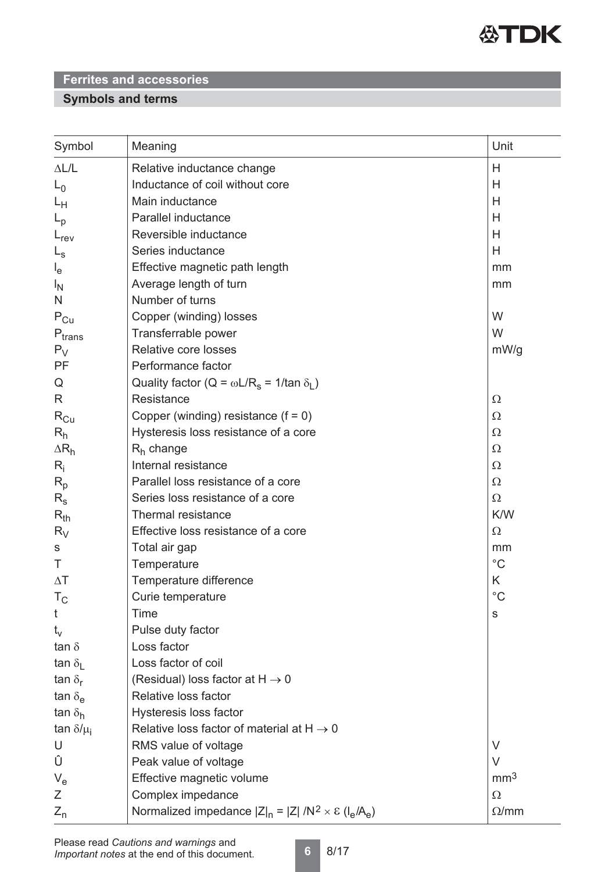

# **Symbols and terms**

| Symbol                    | Meaning                                                                 | Unit            |
|---------------------------|-------------------------------------------------------------------------|-----------------|
| $\Delta L/L$              | Relative inductance change                                              | H               |
| $L_0$                     | Inductance of coil without core                                         | Н               |
| Lн                        | Main inductance                                                         | H               |
| $L_{\rm p}$               | Parallel inductance                                                     | H               |
| $L_{rev}$                 | Reversible inductance                                                   | H               |
| $L_{\rm s}$               | Series inductance                                                       | H               |
| $l_{e}$                   | Effective magnetic path length                                          | mm              |
| $I_{\rm N}$               | Average length of turn                                                  | mm              |
| N                         | Number of turns                                                         |                 |
| $P_{Cu}$                  | Copper (winding) losses                                                 | W               |
| $P_{trans}$               | Transferrable power                                                     | W               |
| $P_V$                     | Relative core losses                                                    | mW/g            |
| PF                        | Performance factor                                                      |                 |
| Q                         | Quality factor ( $Q = \omega L/R_s = 1/tan \delta_l$ )                  |                 |
| R                         | Resistance                                                              | $\Omega$        |
| $\rm R_{Cu}$              | Copper (winding) resistance $(f = 0)$                                   | $\Omega$        |
| $R_h$                     | Hysteresis loss resistance of a core                                    | $\Omega$        |
| $\Delta R_h$              | $R_h$ change                                                            | $\Omega$        |
| $R_i$                     | Internal resistance                                                     | $\Omega$        |
| $R_p$                     | Parallel loss resistance of a core                                      | $\Omega$        |
| $R_{s}$                   | Series loss resistance of a core                                        | $\Omega$        |
| $R_{th}$                  | Thermal resistance                                                      | K/W             |
| $R_V$                     | Effective loss resistance of a core                                     | $\Omega$        |
| S                         | Total air gap                                                           | mm              |
| Τ                         | Temperature                                                             | $^{\circ}C$     |
| $\Delta T$                | Temperature difference                                                  | K               |
| $T_{\rm C}$               | Curie temperature                                                       | $^{\circ}C$     |
| t                         | Time                                                                    | ${\mathbb S}$   |
| $t_{\rm v}$               | Pulse duty factor                                                       |                 |
| tan $\delta$              | Loss factor                                                             |                 |
| tan $\delta_{\rm I}$      | Loss factor of coil                                                     |                 |
| tan $\delta_{\rm r}$      | (Residual) loss factor at $H \rightarrow 0$                             |                 |
| tan $\delta_{\mathsf{e}}$ | Relative loss factor                                                    |                 |
| tan $\delta_h$            | Hysteresis loss factor                                                  |                 |
| tan $\delta/\mu_i$        | Relative loss factor of material at $H \rightarrow 0$                   |                 |
| U                         | RMS value of voltage                                                    | V               |
| Û                         | Peak value of voltage                                                   | $\vee$          |
| $V_{e}$                   | Effective magnetic volume                                               | mm <sup>3</sup> |
| Ζ                         | Complex impedance                                                       | $\Omega$        |
| $Z_{n}$                   | Normalized impedance $ Z _n =  Z  / N^2 \times \varepsilon (I_e / A_e)$ | $\Omega/mm$     |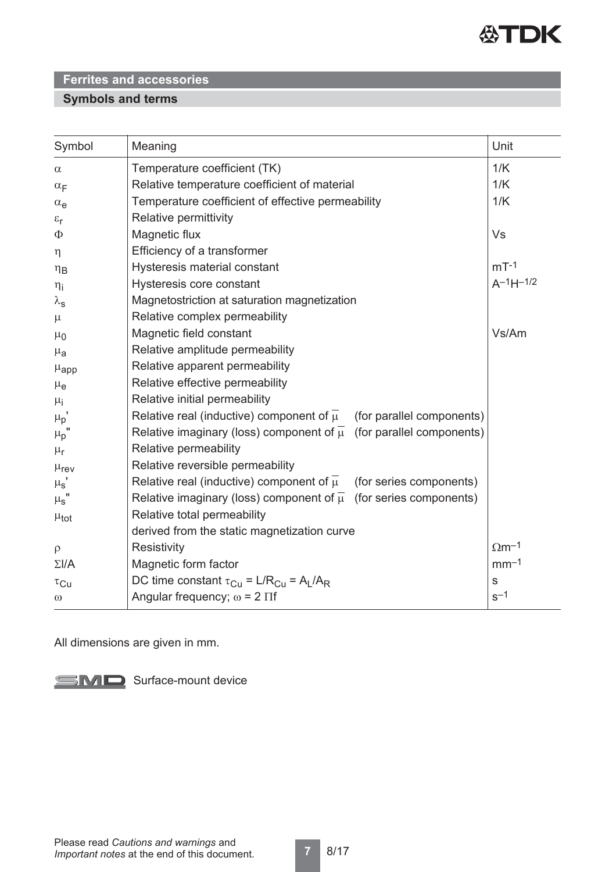

# **Symbols and terms**

| Symbol                | Meaning                                                                              | Unit                     |
|-----------------------|--------------------------------------------------------------------------------------|--------------------------|
| $\alpha$              | Temperature coefficient (TK)                                                         | 1/K                      |
| $\alpha_F$            | Relative temperature coefficient of material                                         | 1/K                      |
| $\alpha_e$            | Temperature coefficient of effective permeability                                    | 1/K                      |
| $\varepsilon_{\rm r}$ | Relative permittivity                                                                |                          |
| Φ                     | Magnetic flux                                                                        | Vs                       |
| $\eta$                | Efficiency of a transformer                                                          |                          |
| $\eta_B$              | Hysteresis material constant                                                         | $mT-1$                   |
| $\eta_i$              | Hysteresis core constant                                                             | $A^{-1}H^{-1/2}$         |
| $\lambda_{\rm s}$     | Magnetostriction at saturation magnetization                                         |                          |
| $\mu$                 | Relative complex permeability                                                        |                          |
| $\mu_0$               | Magnetic field constant                                                              | Vs/Am                    |
| $\mu_{a}$             | Relative amplitude permeability                                                      |                          |
| $\mu_{\rm app}$       | Relative apparent permeability                                                       |                          |
| $\mu_{e}$             | Relative effective permeability                                                      |                          |
| $\mu_{i}$             | Relative initial permeability                                                        |                          |
| $\mu_p$ '             | Relative real (inductive) component of $\overline{\mu}$<br>(for parallel components) |                          |
| $\mu_{p}$             | Relative imaginary (loss) component of $\overline{\mu}$ (for parallel components)    |                          |
| $\mu_{\text{r}}$      | Relative permeability                                                                |                          |
| $\mu_{\text{rev}}$    | Relative reversible permeability                                                     |                          |
| $\mu_{\rm s}$         | Relative real (inductive) component of $\overline{\mu}$<br>(for series components)   |                          |
| $\mu_{\text{S}}$ "    | Relative imaginary (loss) component of $\overline{\mu}$ (for series components)      |                          |
| $\mu_{tot}$           | Relative total permeability                                                          |                          |
|                       | derived from the static magnetization curve                                          |                          |
| $\rho$                | Resistivity                                                                          | $\Omega$ m <sup>-1</sup> |
| $\Sigma I/A$          | Magnetic form factor                                                                 | $mm-1$                   |
| $\tau_{\text{Cu}}$    | DC time constant $\tau_{Cu} = L/R_{Cu} = A_L/A_R$                                    | ${\mathsf s}$            |
| $\omega$              | Angular frequency; $\omega = 2 \Pi f$                                                | $s^{-1}$                 |

All dimensions are given in mm.

SMD Surface-mount device